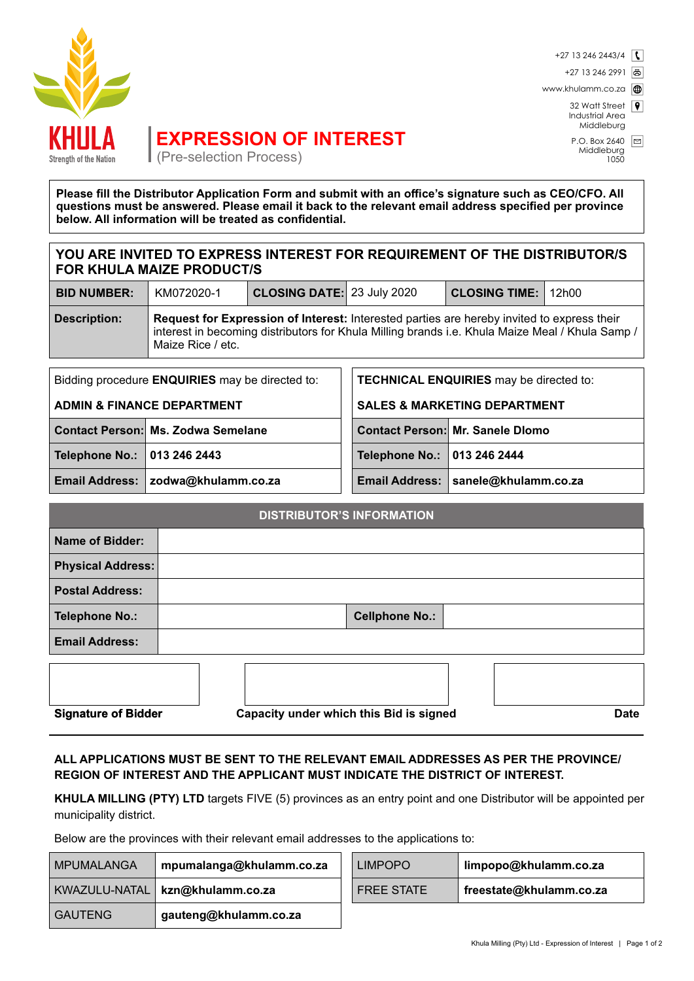

 $+27$  13 246 2443/4

+27 13 246 2991 8

www.khulamm.co.za

32 Watt Street 9

Industrial Area Middleburg

P.O. Box 2640 Middleburg 1050

## **EXPRESSION OF INTEREST**

(Pre-selection Process)

**Please fill the Distributor Application Form and submit with an office's signature such as CEO/CFO. All questions must be answered. Please email it back to the relevant email address specified per province below. All information will be treated as confidential.**

## **YOU ARE INVITED TO EXPRESS INTEREST FOR REQUIREMENT OF THE DISTRIBUTOR/S FOR KHULA MAIZE PRODUCT/S**

| <b>BID NUMBER:</b>  | KM072020-1                                                                                                                                                                                                         | CLOSING DATE: 23 July 2020 |  | CLOSING TIME: 12h00 |  |  |
|---------------------|--------------------------------------------------------------------------------------------------------------------------------------------------------------------------------------------------------------------|----------------------------|--|---------------------|--|--|
| <b>Description:</b> | Request for Expression of Interest: Interested parties are hereby invited to express their<br>interest in becoming distributors for Khula Milling brands i.e. Khula Maize Meal / Khula Samp /<br>Maize Rice / etc. |                            |  |                     |  |  |

Bidding procedure **ENQUIRIES** may be directed to: **ADMIN & FINANCE DEPARTMENT Contact Person: Ms. Zodwa Semelane Telephone No.: Email Address: 013 246 2443 zodwa@khulamm.co.za**

**TECHNICAL ENQUIRIES** may be directed to:

**SALES & MARKETING DEPARTMENT**

**Contact Person: Mr. Sanele Dlomo**

**Telephone No.: 013 246 2444**

**Email Address: sanele@khulamm.co.za**

| <b>DISTRIBUTOR'S INFORMATION</b> |  |  |  |                       |  |  |  |
|----------------------------------|--|--|--|-----------------------|--|--|--|
| <b>Name of Bidder:</b>           |  |  |  |                       |  |  |  |
| <b>Physical Address:</b>         |  |  |  |                       |  |  |  |
| <b>Postal Address:</b>           |  |  |  |                       |  |  |  |
| Telephone No.:                   |  |  |  | <b>Cellphone No.:</b> |  |  |  |
| <b>Email Address:</b>            |  |  |  |                       |  |  |  |
|                                  |  |  |  |                       |  |  |  |

**Signature of Bidder Capacity under which this Bid is signed Date**

## **ALL APPLICATIONS MUST BE SENT TO THE RELEVANT EMAIL ADDRESSES AS PER THE PROVINCE/ REGION OF INTEREST AND THE APPLICANT MUST INDICATE THE DISTRICT OF INTEREST.**

**KHULA MILLING (PTY) LTD** targets FIVE (5) provinces as an entry point and one Distributor will be appointed per municipality district.

Below are the provinces with their relevant email addresses to the applications to:

| MPUMALANGA | mpumalanga@khulamm.co.za | <b>LIMPOPO</b>    | limpopo@khulamm.co.za   |
|------------|--------------------------|-------------------|-------------------------|
|            |                          | <b>FREE STATE</b> | freestate@khulamm.co.za |
| l GAUTENG. | gauteng@khulamm.co.za    |                   |                         |